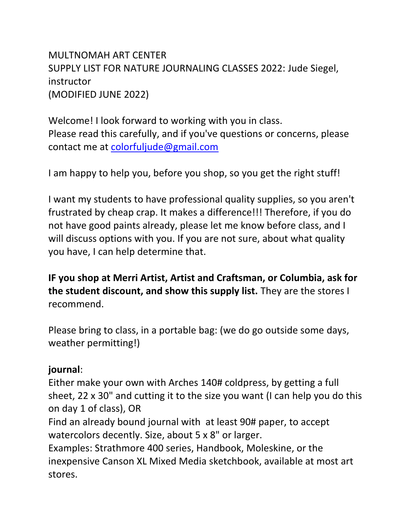MULTNOMAH ART CENTER SUPPLY LIST FOR NATURE JOURNALING CLASSES 2022: Jude Siegel, instructor (MODIFIED JUNE 2022)

Welcome! I look forward to working with you in class. Please read this carefully, and if you've questions or concerns, please contact me at [colorfuljude@gmail.com](mailto:colorfuljude@gmail.com)

I am happy to help you, before you shop, so you get the right stuff!

I want my students to have professional quality supplies, so you aren't frustrated by cheap crap. It makes a difference!!! Therefore, if you do not have good paints already, please let me know before class, and I will discuss options with you. If you are not sure, about what quality you have, I can help determine that.

**IF you shop at Merri Artist, Artist and Craftsman, or Columbia, ask for the student discount, and show this supply list.** They are the stores I recommend.

Please bring to class, in a portable bag: (we do go outside some days, weather permitting!)

## **journal**:

Either make your own with Arches 140# coldpress, by getting a full sheet, 22 x 30" and cutting it to the size you want (I can help you do this on day 1 of class), OR

Find an already bound journal with at least 90# paper, to accept watercolors decently. Size, about 5 x 8" or larger.

Examples: Strathmore 400 series, Handbook, Moleskine, or the inexpensive Canson XL Mixed Media sketchbook, available at most art stores.